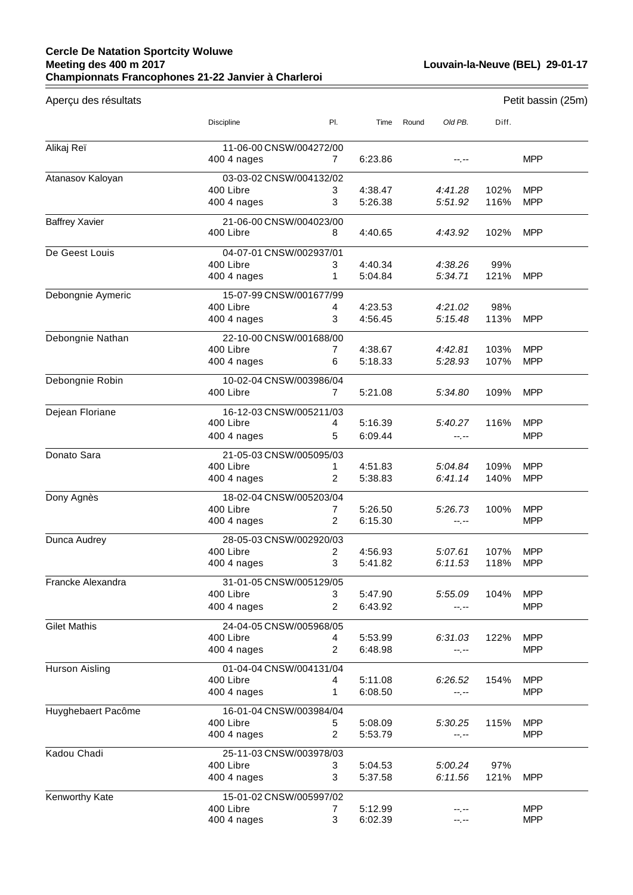## **Cercle De Natation Sportcity Woluwe Meeting des 400 m 2017 Championnats Francophones 21-22 Janvier à Charleroi**

| Aperçu des résultats  |                                      |                |                    |       |                  |       | Petit bassin (25m)       |  |  |
|-----------------------|--------------------------------------|----------------|--------------------|-------|------------------|-------|--------------------------|--|--|
|                       | Discipline                           | PI.            | Time               | Round | Old PB.          | Diff. |                          |  |  |
| Alikaj Reï            | 11-06-00 CNSW/004272/00              |                |                    |       |                  |       |                          |  |  |
|                       | 400 4 nages                          | $\mathbf{7}$   | 6:23.86            |       | --.--            |       | <b>MPP</b>               |  |  |
| Atanasov Kaloyan      | 03-03-02 CNSW/004132/02              |                |                    |       |                  |       |                          |  |  |
|                       | 400 Libre                            | 3              | 4:38.47            |       | 4:41.28          | 102%  | <b>MPP</b>               |  |  |
|                       | 400 4 nages                          | 3              | 5:26.38            |       | 5:51.92          | 116%  | <b>MPP</b>               |  |  |
| <b>Baffrey Xavier</b> | 21-06-00 CNSW/004023/00              |                |                    |       |                  |       |                          |  |  |
|                       | 400 Libre                            | 8              | 4:40.65            |       | 4:43.92          | 102%  | <b>MPP</b>               |  |  |
| De Geest Louis        | 04-07-01 CNSW/002937/01              |                |                    |       |                  |       |                          |  |  |
|                       | 400 Libre                            | 3              | 4:40.34            |       | 4:38.26          | 99%   |                          |  |  |
|                       | 400 4 nages                          | 1              | 5:04.84            |       | 5:34.71          | 121%  | <b>MPP</b>               |  |  |
| Debongnie Aymeric     | 15-07-99 CNSW/001677/99              |                |                    |       |                  |       |                          |  |  |
|                       | 400 Libre                            | 4              | 4:23.53            |       | 4:21.02          | 98%   |                          |  |  |
|                       | 400 4 nages                          | 3              | 4:56.45            |       | 5:15.48          | 113%  | <b>MPP</b>               |  |  |
| Debongnie Nathan      | 22-10-00 CNSW/001688/00              |                |                    |       |                  |       |                          |  |  |
|                       | 400 Libre                            | 7              | 4:38.67            |       | 4:42.81          | 103%  | <b>MPP</b>               |  |  |
|                       | 400 4 nages                          | 6              | 5:18.33            |       | 5:28.93          | 107%  | <b>MPP</b>               |  |  |
| Debongnie Robin       | 10-02-04 CNSW/003986/04              |                |                    |       |                  |       |                          |  |  |
|                       | 400 Libre                            | $\overline{7}$ | 5:21.08            |       | 5:34.80          | 109%  | <b>MPP</b>               |  |  |
|                       |                                      |                |                    |       |                  |       |                          |  |  |
| Dejean Floriane       | 16-12-03 CNSW/005211/03              |                |                    |       |                  |       |                          |  |  |
|                       | 400 Libre<br>400 4 nages             | 4<br>5         | 5:16.39<br>6:09.44 |       | 5:40.27          | 116%  | <b>MPP</b><br><b>MPP</b> |  |  |
|                       |                                      |                |                    |       | $-1 - 1 - 1 = 0$ |       |                          |  |  |
| Donato Sara           | 21-05-03 CNSW/005095/03              |                |                    |       |                  |       |                          |  |  |
|                       | 400 Libre                            | 1              | 4:51.83            |       | 5:04.84          | 109%  | <b>MPP</b>               |  |  |
|                       | 400 4 nages                          | 2              | 5:38.83            |       | 6:41.14          | 140%  | <b>MPP</b>               |  |  |
| Dony Agnès            | 18-02-04 CNSW/005203/04              |                |                    |       |                  |       |                          |  |  |
|                       | 400 Libre                            | 7              | 5:26.50            |       | 5:26.73          | 100%  | <b>MPP</b>               |  |  |
|                       | 400 4 nages                          | 2              | 6:15.30            |       | --.--            |       | <b>MPP</b>               |  |  |
| Dunca Audrey          | 28-05-03 CNSW/002920/03              |                |                    |       |                  |       |                          |  |  |
|                       | 400 Libre                            | 2              | 4:56.93            |       | 5:07.61          | 107%  | <b>MPP</b>               |  |  |
|                       | 400 4 nages                          | 3              | 5:41.82            |       | 6:11.53          | 118%  | <b>MPP</b>               |  |  |
| Francke Alexandra     | 31-01-05 CNSW/005129/05              |                |                    |       |                  |       |                          |  |  |
|                       | 400 Libre                            | 3              | 5:47.90            |       | 5:55.09          | 104%  | <b>MPP</b>               |  |  |
|                       | 400 4 nages                          | 2              | 6:43.92            |       | --.--            |       | <b>MPP</b>               |  |  |
| <b>Gilet Mathis</b>   | 24-04-05 CNSW/005968/05              |                |                    |       |                  |       |                          |  |  |
|                       | 400 Libre                            | 4              | 5:53.99            |       | 6:31.03          | 122%  | <b>MPP</b>               |  |  |
|                       | 400 4 nages                          | 2              | 6:48.98            |       | --.--            |       | <b>MPP</b>               |  |  |
| Hurson Aisling        | 01-04-04 CNSW/004131/04              |                |                    |       |                  |       |                          |  |  |
|                       | 400 Libre                            | 4              | 5:11.08            |       | 6:26.52          | 154%  | <b>MPP</b>               |  |  |
|                       | 400 4 nages                          | 1              | 6:08.50            |       | --.--            |       | <b>MPP</b>               |  |  |
| Huyghebaert Pacôme    | 16-01-04 CNSW/003984/04              |                |                    |       |                  |       |                          |  |  |
|                       | 400 Libre                            | 5              | 5:08.09            |       | 5:30.25          | 115%  | <b>MPP</b>               |  |  |
|                       | 400 4 nages                          | 2              | 5:53.79            |       | --.--            |       | <b>MPP</b>               |  |  |
| Kadou Chadi           | 25-11-03 CNSW/003978/03              |                |                    |       |                  |       |                          |  |  |
|                       | 400 Libre                            | 3              | 5:04.53            |       | 5:00.24          | 97%   |                          |  |  |
|                       | 400 4 nages                          | 3              | 5:37.58            |       | 6:11.56          | 121%  | <b>MPP</b>               |  |  |
|                       |                                      |                |                    |       |                  |       |                          |  |  |
| Kenworthy Kate        | 15-01-02 CNSW/005997/02<br>400 Libre | 7              | 5:12.99            |       |                  |       | <b>MPP</b>               |  |  |
|                       | 400 4 nages                          | 3              | 6:02.39            |       | --.--<br>--.--   |       | <b>MPP</b>               |  |  |
|                       |                                      |                |                    |       |                  |       |                          |  |  |